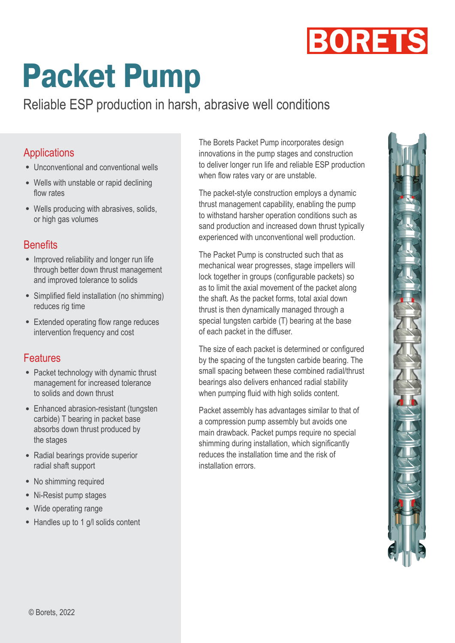

# **Packet Pump**

Reliable ESP production in harsh, abrasive well conditions

#### Applications

- Unconventional and conventional wells
- Wells with unstable or rapid declining flow rates
- Wells producing with abrasives, solids, or high gas volumes

### **Benefits**

- Improved reliability and longer run life through better down thrust management and improved tolerance to solids
- Simplified field installation (no shimming) reduces rig time
- Extended operating flow range reduces intervention frequency and cost

### Features

- Packet technology with dynamic thrust management for increased tolerance to solids and down thrust
- Enhanced abrasion-resistant (tungsten carbide) T bearing in packet base absorbs down thrust produced by the stages
- Radial bearings provide superior radial shaft support
- No shimming required
- Ni-Resist pump stages
- Wide operating range
- Handles up to 1 g/l solids content

The Borets Packet Pump incorporates design innovations in the pump stages and construction to deliver longer run life and reliable ESP production when flow rates vary or are unstable.

The packet-style construction employs a dynamic thrust management capability, enabling the pump to withstand harsher operation conditions such as sand production and increased down thrust typically experienced with unconventional well production.

The Packet Pump is constructed such that as mechanical wear progresses, stage impellers will lock together in groups (configurable packets) so as to limit the axial movement of the packet along the shaft. As the packet forms, total axial down thrust is then dynamically managed through a special tungsten carbide (T) bearing at the base of each packet in the diffuser.

The size of each packet is determined or configured by the spacing of the tungsten carbide bearing. The small spacing between these combined radial/thrust bearings also delivers enhanced radial stability when pumping fluid with high solids content.

Packet assembly has advantages similar to that of a compression pump assembly but avoids one main drawback. Packet pumps require no special shimming during installation, which significantly reduces the installation time and the risk of installation errors.